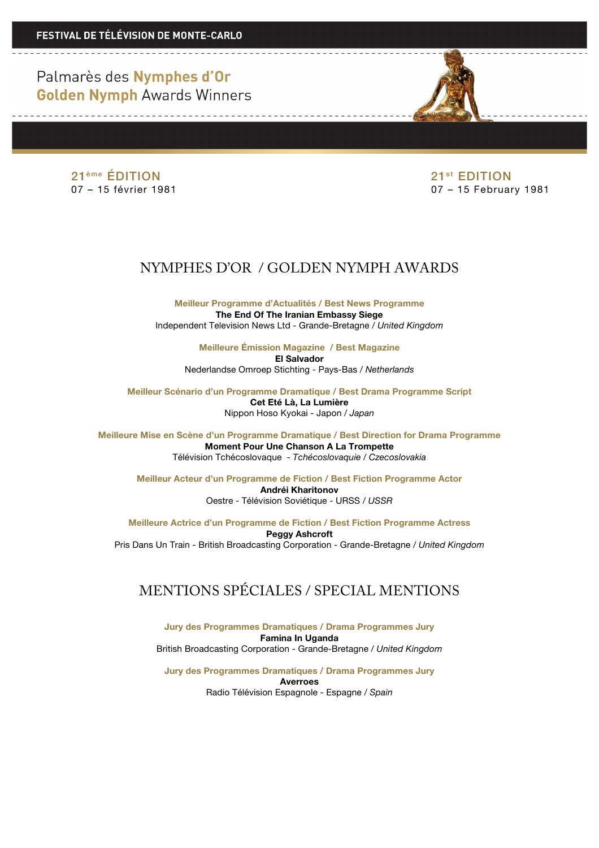Palmarès des Nymphes d'Or **Golden Nymph Awards Winners** 

 $21^{\text{eme}}$  **ÉDITION** 21<sup>st</sup> EDITION 21<sup>st</sup> EDITION 21<sup>st</sup> EDITION 21<sup>st</sup> EDITION

07 – 15 février 1981 07 – 15 February 1981

## NYMPHES D'OR / GOLDEN NYMPH AWARDS

**Meilleur Programme d'Actualités / Best News Programme The End Of The Iranian Embassy Siege** Independent Television News Ltd - Grande-Bretagne / *United Kingdom*

> **Meilleure Émission Magazine / Best Magazine El Salvador** Nederlandse Omroep Stichting - Pays-Bas / *Netherlands*

**Meilleur Scénario d'un Programme Dramatique / Best Drama Programme Script Cet Eté Là, La Lumière** Nippon Hoso Kyokai - Japon / *Japan*

**Meilleure Mise en Scène d'un Programme Dramatique / Best Direction for Drama Programme Moment Pour Une Chanson A La Trompette** Télévision Tchécoslovaque *- Tchécoslovaquie / Czecoslovakia*

**Meilleur Acteur d'un Programme de Fiction / Best Fiction Programme Actor Andréi Kharitonov** Oestre - Télévision Soviétique - URSS / *USSR*

**Meilleure Actrice d'un Programme de Fiction / Best Fiction Programme Actress Peggy Ashcroft** Pris Dans Un Train - British Broadcasting Corporation - Grande-Bretagne / *United Kingdom*

## MENTIONS SPÉCIALES / SPECIAL MENTIONS

**Jury des Programmes Dramatiques / Drama Programmes Jury Famina In Uganda** British Broadcasting Corporation - Grande-Bretagne / *United Kingdom*

**Jury des Programmes Dramatiques / Drama Programmes Jury Averroes** Radio Télévision Espagnole - Espagne */ Spain*